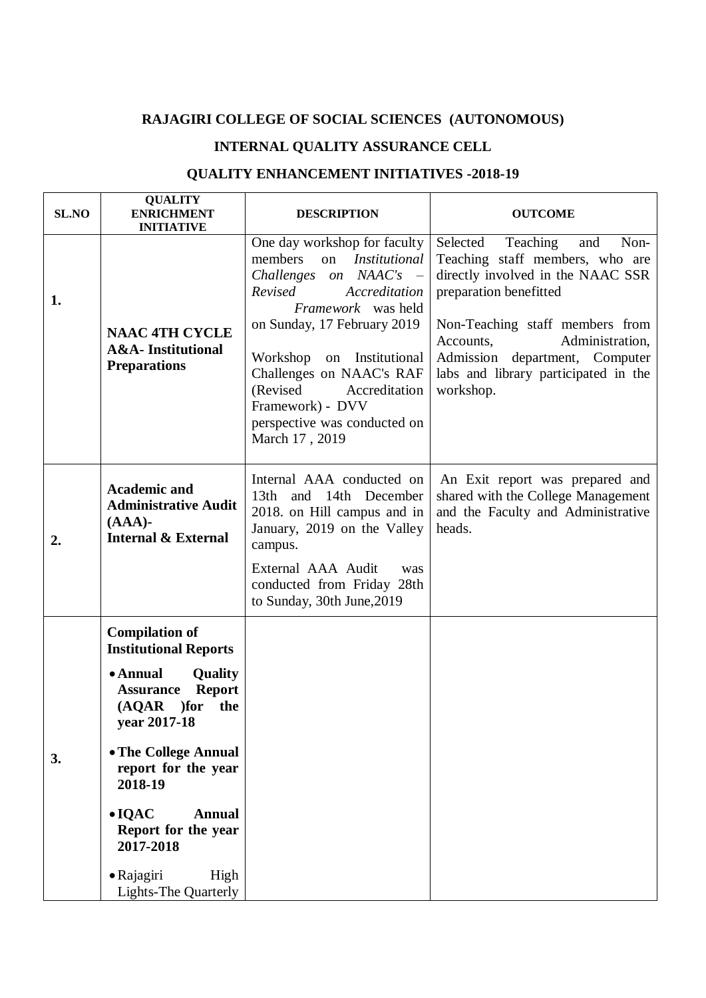## **RAJAGIRI COLLEGE OF SOCIAL SCIENCES (AUTONOMOUS)**

## **INTERNAL QUALITY ASSURANCE CELL**

## **QUALITY ENHANCEMENT INITIATIVES -2018-19**

| SL.NO | <b>QUALITY</b><br><b>ENRICHMENT</b><br><b>INITIATIVE</b>                                                                                                                                                                                                                                                                                  | <b>DESCRIPTION</b>                                                                                                                                                                                                                                                                                                                                         | <b>OUTCOME</b>                                                                                                                                                                                                                                                                                  |
|-------|-------------------------------------------------------------------------------------------------------------------------------------------------------------------------------------------------------------------------------------------------------------------------------------------------------------------------------------------|------------------------------------------------------------------------------------------------------------------------------------------------------------------------------------------------------------------------------------------------------------------------------------------------------------------------------------------------------------|-------------------------------------------------------------------------------------------------------------------------------------------------------------------------------------------------------------------------------------------------------------------------------------------------|
| 1.    | <b>NAAC 4TH CYCLE</b><br><b>A&amp;A-Institutional</b><br><b>Preparations</b>                                                                                                                                                                                                                                                              | One day workshop for faculty<br>members<br>on<br><i>Institutional</i><br>on NAAC's<br>Challenges<br>$\sim$<br>Revised<br>Accreditation<br>Framework was held<br>on Sunday, 17 February 2019<br>Workshop<br>on Institutional<br>Challenges on NAAC's RAF<br>(Revised<br>Accreditation<br>Framework) - DVV<br>perspective was conducted on<br>March 17, 2019 | Selected<br>Teaching<br>Non-<br>and<br>Teaching staff members, who are<br>directly involved in the NAAC SSR<br>preparation benefitted<br>Non-Teaching staff members from<br>Administration,<br>Accounts,<br>Admission department, Computer<br>labs and library participated in the<br>workshop. |
| 2.    | <b>Academic and</b><br><b>Administrative Audit</b><br>$(AAA)$ -<br><b>Internal &amp; External</b>                                                                                                                                                                                                                                         | Internal AAA conducted on<br>13 <sub>th</sub><br>and 14th December<br>2018. on Hill campus and in<br>January, 2019 on the Valley<br>campus.<br>External AAA Audit<br>was<br>conducted from Friday 28th<br>to Sunday, 30th June, 2019                                                                                                                       | An Exit report was prepared and<br>shared with the College Management<br>and the Faculty and Administrative<br>heads.                                                                                                                                                                           |
| 3.    | <b>Compilation of</b><br><b>Institutional Reports</b><br>• Annual<br>Quality<br><b>Report</b><br><b>Assurance</b><br>)for<br>the<br>(AQAR)<br>year 2017-18<br>• The College Annual<br>report for the year<br>2018-19<br>$\bullet$ IQAC<br><b>Annual</b><br>Report for the year<br>2017-2018<br>• Rajagiri<br>High<br>Lights-The Quarterly |                                                                                                                                                                                                                                                                                                                                                            |                                                                                                                                                                                                                                                                                                 |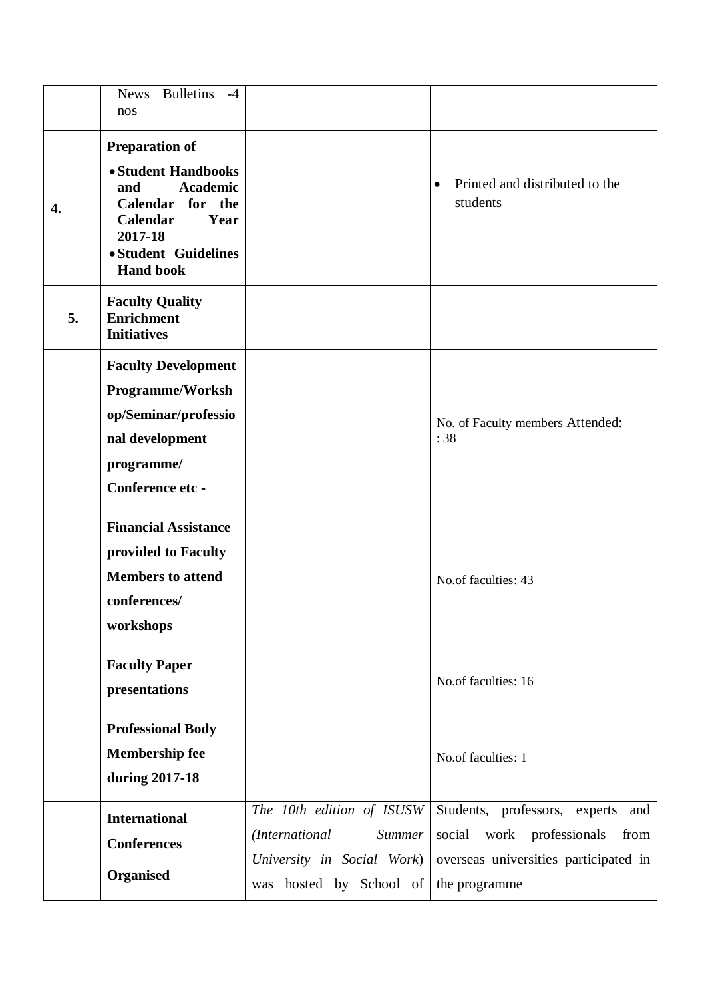|    | <b>Bulletins</b><br><b>News</b><br>$-4$<br>nos                                                                                                                               |                                                                                                                          |                                                                                                                                        |
|----|------------------------------------------------------------------------------------------------------------------------------------------------------------------------------|--------------------------------------------------------------------------------------------------------------------------|----------------------------------------------------------------------------------------------------------------------------------------|
| 4. | <b>Preparation of</b><br>• Student Handbooks<br><b>Academic</b><br>and<br>Calendar for the<br><b>Calendar</b><br>Year<br>2017-18<br>· Student Guidelines<br><b>Hand book</b> |                                                                                                                          | Printed and distributed to the<br>$\bullet$<br>students                                                                                |
| 5. | <b>Faculty Quality</b><br><b>Enrichment</b><br><b>Initiatives</b>                                                                                                            |                                                                                                                          |                                                                                                                                        |
|    | <b>Faculty Development</b><br><b>Programme/Worksh</b><br>op/Seminar/professio<br>nal development<br>programme/<br>Conference etc -                                           |                                                                                                                          | No. of Faculty members Attended:<br>:38                                                                                                |
|    | <b>Financial Assistance</b><br>provided to Faculty<br><b>Members to attend</b><br>conferences/<br>workshops                                                                  |                                                                                                                          | No.of faculties: 43                                                                                                                    |
|    | <b>Faculty Paper</b><br>presentations                                                                                                                                        |                                                                                                                          | No.of faculties: 16                                                                                                                    |
|    | <b>Professional Body</b><br><b>Membership fee</b><br>during 2017-18                                                                                                          |                                                                                                                          | No.of faculties: 1                                                                                                                     |
|    | <b>International</b><br><b>Conferences</b><br>Organised                                                                                                                      | The 10th edition of ISUSW<br>(International<br><b>Summer</b><br>University in Social Work)<br>hosted by School of<br>was | Students, professors, experts<br>and<br>work professionals<br>social<br>from<br>overseas universities participated in<br>the programme |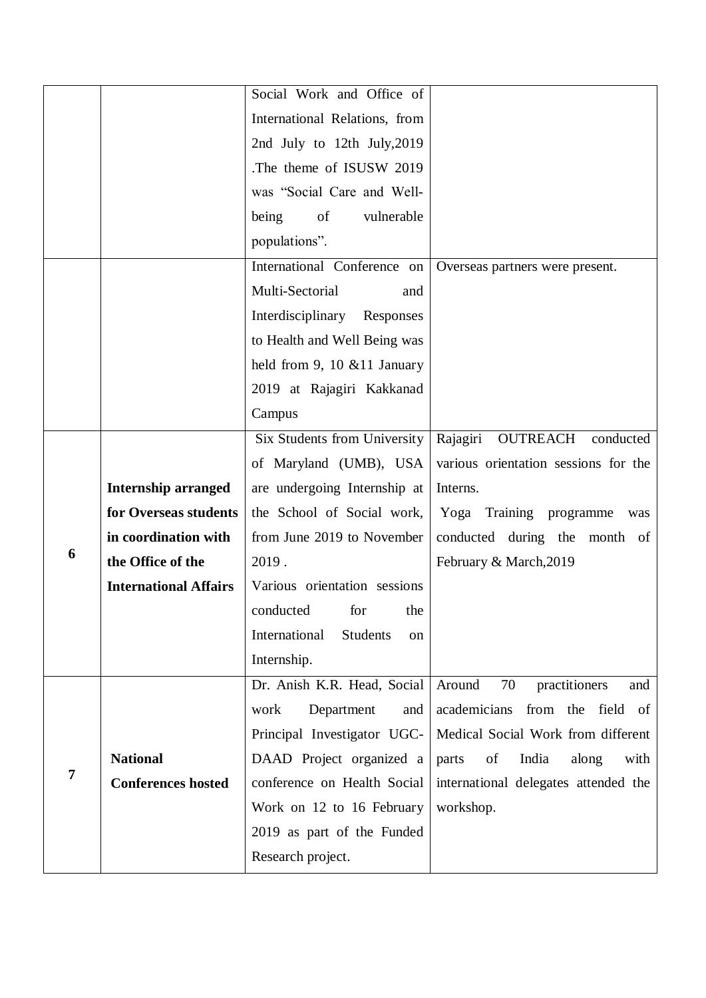|   |                              | Social Work and Office of              |                                       |
|---|------------------------------|----------------------------------------|---------------------------------------|
|   |                              | International Relations, from          |                                       |
|   |                              | 2nd July to 12th July, 2019            |                                       |
|   |                              | The theme of ISUSW 2019.               |                                       |
|   |                              | was "Social Care and Well-             |                                       |
|   |                              | being<br>of<br>vulnerable              |                                       |
|   |                              | populations".                          |                                       |
|   |                              | International Conference on            | Overseas partners were present.       |
|   |                              | Multi-Sectorial<br>and                 |                                       |
|   |                              | Interdisciplinary<br>Responses         |                                       |
|   |                              | to Health and Well Being was           |                                       |
|   |                              | held from 9, 10 $&$ 11 January         |                                       |
|   |                              | 2019 at Rajagiri Kakkanad              |                                       |
|   |                              | Campus                                 |                                       |
|   |                              | Six Students from University           | Rajagiri OUTREACH<br>conducted        |
|   |                              | of Maryland (UMB), USA                 | various orientation sessions for the  |
|   | <b>Internship arranged</b>   | are undergoing Internship at           | Interns.                              |
|   | for Overseas students        | the School of Social work,             | Yoga Training programme<br>was        |
|   | in coordination with         | from June 2019 to November             | conducted during the month of         |
| 6 | the Office of the            | 2019.                                  | February & March, 2019                |
|   | <b>International Affairs</b> | Various orientation sessions           |                                       |
|   |                              | conducted for<br>the                   |                                       |
|   |                              | International<br><b>Students</b><br>on |                                       |
|   |                              | Internship.                            |                                       |
|   |                              | Dr. Anish K.R. Head, Social            | 70<br>Around<br>practitioners<br>and  |
| 7 |                              | work<br>Department<br>and              | academicians<br>from the<br>field of  |
|   |                              | Principal Investigator UGC-            | Medical Social Work from different    |
|   | <b>National</b>              | DAAD Project organized a               | of<br>India<br>along<br>with<br>parts |
|   | <b>Conferences hosted</b>    | conference on Health Social            | international delegates attended the  |
|   |                              | Work on 12 to 16 February              | workshop.                             |
|   |                              | 2019 as part of the Funded             |                                       |
|   |                              | Research project.                      |                                       |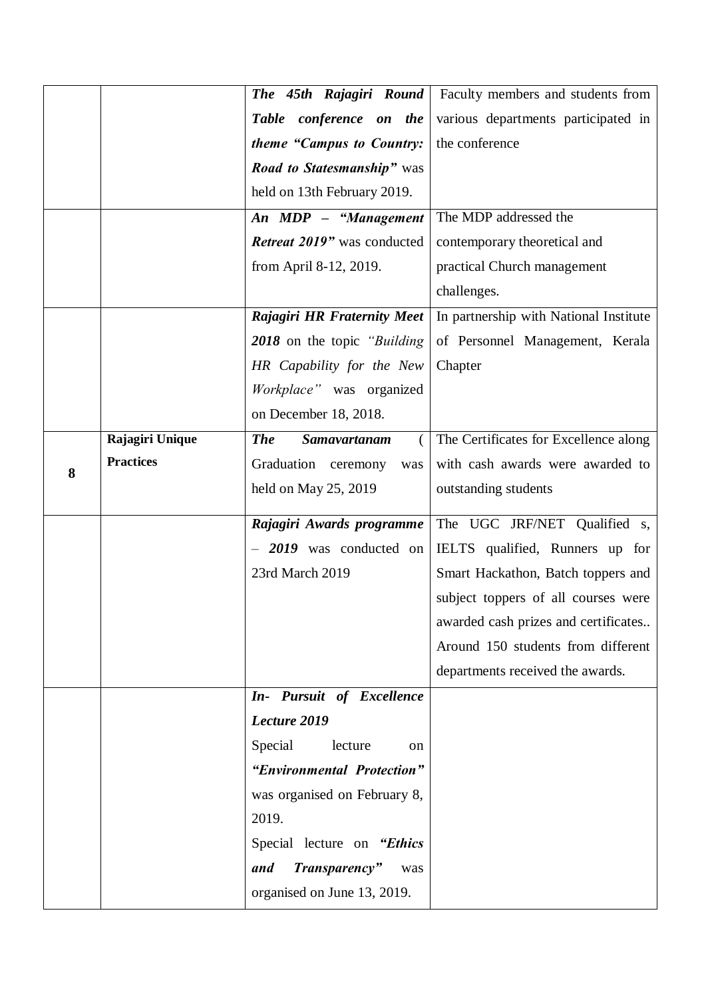|   |                  | The 45th Rajagiri Round             | Faculty members and students from      |
|---|------------------|-------------------------------------|----------------------------------------|
|   |                  | Table conference on the             | various departments participated in    |
|   |                  | theme "Campus to Country:           | the conference                         |
|   |                  | <b>Road to Statesmanship</b> " was  |                                        |
|   |                  | held on 13th February 2019.         |                                        |
|   |                  | An MDP - "Management                | The MDP addressed the                  |
|   |                  | Retreat 2019" was conducted         | contemporary theoretical and           |
|   |                  | from April 8-12, 2019.              | practical Church management            |
|   |                  |                                     | challenges.                            |
|   |                  | <b>Rajagiri HR Fraternity Meet</b>  | In partnership with National Institute |
|   |                  | 2018 on the topic "Building"        | of Personnel Management, Kerala        |
|   |                  | HR Capability for the New           | Chapter                                |
|   |                  | Workplace" was organized            |                                        |
|   |                  | on December 18, 2018.               |                                        |
|   | Rajagiri Unique  | <b>The</b><br>Samavartanam          | The Certificates for Excellence along  |
| 8 | <b>Practices</b> | Graduation ceremony<br>was          | with cash awards were awarded to       |
|   |                  | held on May 25, 2019                | outstanding students                   |
|   |                  | Rajagiri Awards programme           | The UGC JRF/NET Qualified s,           |
|   |                  | $-2019$ was conducted on            | IELTS qualified, Runners up for        |
|   |                  | 23rd March 2019                     | Smart Hackathon, Batch toppers and     |
|   |                  |                                     | subject toppers of all courses were    |
|   |                  |                                     | awarded cash prizes and certificates   |
|   |                  |                                     | Around 150 students from different     |
|   |                  |                                     | departments received the awards.       |
|   |                  | In- Pursuit of Excellence           |                                        |
|   |                  | Lecture 2019                        |                                        |
|   |                  | Special<br>lecture<br><sub>on</sub> |                                        |
|   |                  | "Environmental Protection"          |                                        |
|   |                  | was organised on February 8,        |                                        |
|   |                  | 2019.                               |                                        |
|   |                  | Special lecture on "Ethics"         |                                        |
|   |                  | Transparency"<br>and<br>was         |                                        |
|   |                  | organised on June 13, 2019.         |                                        |
|   |                  |                                     |                                        |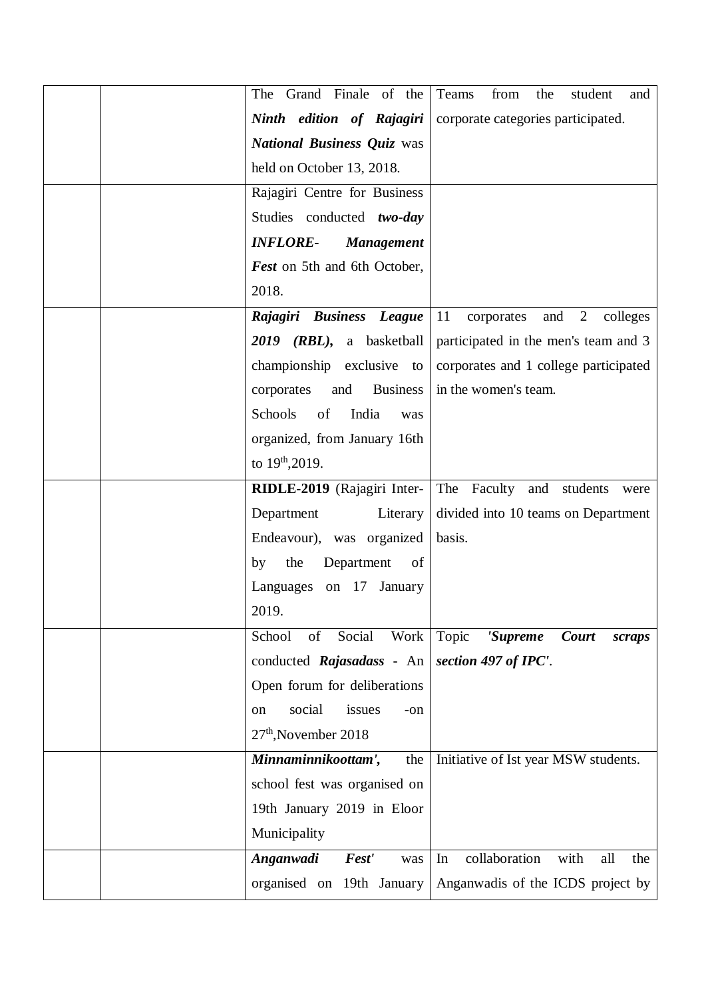| The Grand Finale of the              | Teams<br>from<br>the<br>student<br>and                |
|--------------------------------------|-------------------------------------------------------|
| Ninth edition of Rajagiri            | corporate categories participated.                    |
| <b>National Business Quiz was</b>    |                                                       |
| held on October 13, 2018.            |                                                       |
| Rajagiri Centre for Business         |                                                       |
| Studies conducted two-day            |                                                       |
| <b>INFLORE-</b><br><b>Management</b> |                                                       |
| Fest on 5th and 6th October,         |                                                       |
| 2018.                                |                                                       |
| Rajagiri Business League             | $\overline{2}$<br>11<br>corporates<br>and<br>colleges |
| 2019 (RBL), a basketball             | participated in the men's team and 3                  |
| championship exclusive to            | corporates and 1 college participated                 |
| <b>Business</b><br>corporates<br>and | in the women's team.                                  |
| of<br>Schools<br>India<br>was        |                                                       |
| organized, from January 16th         |                                                       |
| to $19^{th}$ , 2019.                 |                                                       |
| RIDLE-2019 (Rajagiri Inter-          | The Faculty and<br>students<br>were                   |
| Department<br>Literary               | divided into 10 teams on Department                   |
| Endeavour), was organized            | basis.                                                |
| the<br>Department<br>of<br>by        |                                                       |
| Languages on 17<br>January           |                                                       |
| 2019.                                |                                                       |
| of<br>Social<br>Work<br>School       | Topic<br>Court<br>'Supreme<br>scraps                  |
| conducted Rajasadass - An            | section 497 of IPC'.                                  |
| Open forum for deliberations         |                                                       |
| social<br>issues<br>on<br>$-on$      |                                                       |
| $27th$ , November 2018               |                                                       |
| Minnaminnikoottam',<br>the           | Initiative of Ist year MSW students.                  |
| school fest was organised on         |                                                       |
| 19th January 2019 in Eloor           |                                                       |
| Municipality                         |                                                       |
| Anganwadi<br>Fest'<br>was            | collaboration<br>In<br>with<br>all<br>the             |
| organised on 19th January            | Anganwadis of the ICDS project by                     |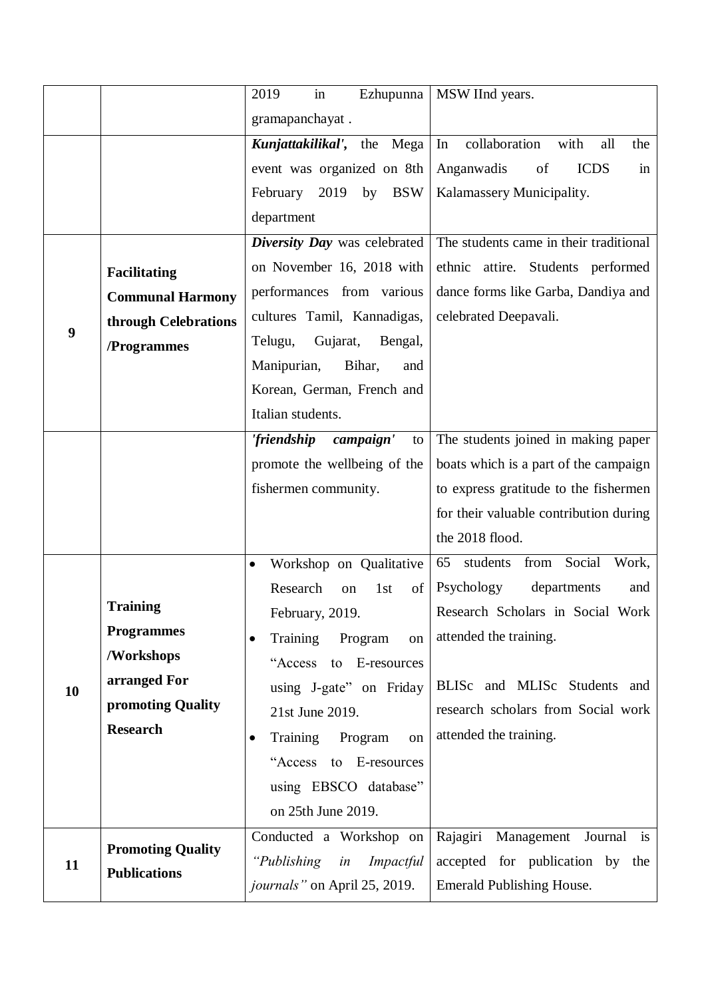|    |                          | in<br>2019<br>Ezhupunna                | MSW IInd years.                           |
|----|--------------------------|----------------------------------------|-------------------------------------------|
|    |                          | gramapanchayat.                        |                                           |
|    |                          | Kunjattakilikal', the Mega             | collaboration<br>In<br>with<br>all<br>the |
|    |                          | event was organized on 8th             | Anganwadis<br><b>ICDS</b><br>of<br>in     |
|    |                          | February 2019<br>by<br><b>BSW</b>      | Kalamassery Municipality.                 |
|    |                          | department                             |                                           |
|    |                          | Diversity Day was celebrated           | The students came in their traditional    |
|    | <b>Facilitating</b>      | on November 16, 2018 with              | ethnic attire. Students performed         |
|    | <b>Communal Harmony</b>  | performances from various              | dance forms like Garba, Dandiya and       |
|    | through Celebrations     | cultures Tamil, Kannadigas,            | celebrated Deepavali.                     |
| 9  | /Programmes              | Gujarat,<br>Telugu,<br>Bengal,         |                                           |
|    |                          | Manipurian,<br>Bihar,<br>and           |                                           |
|    |                          | Korean, German, French and             |                                           |
|    |                          | Italian students.                      |                                           |
|    |                          | 'friendship campaign'<br>to            | The students joined in making paper       |
|    |                          | promote the wellbeing of the           | boats which is a part of the campaign     |
|    |                          | fishermen community.                   | to express gratitude to the fishermen     |
|    |                          |                                        | for their valuable contribution during    |
|    |                          |                                        | the 2018 flood.                           |
|    |                          | Workshop on Qualitative<br>$\bullet$   | Social<br>Work,<br>65 students<br>from    |
|    |                          | Research<br>1st<br>of<br>on            | Psychology<br>departments<br>and          |
|    | <b>Training</b>          | February, 2019.                        | Research Scholars in Social Work          |
|    | <b>Programmes</b>        | Training<br>Program<br>on<br>$\bullet$ | attended the training.                    |
|    | /Workshops               | "Access to E-resources"                |                                           |
| 10 | arranged For             | using J-gate" on Friday                | BLISc and MLISc Students and              |
|    | promoting Quality        | 21st June 2019.                        | research scholars from Social work        |
|    | <b>Research</b>          | Training Program<br>on<br>$\bullet$    | attended the training.                    |
|    |                          | "Access to E-resources"                |                                           |
|    |                          | using EBSCO database"                  |                                           |
|    |                          | on 25th June 2019.                     |                                           |
|    |                          | Conducted a Workshop on                | Rajagiri Management<br>Journal<br>is      |
| 11 | <b>Promoting Quality</b> | "Publishing in<br>Impactful            | accepted for publication by the           |
|    | <b>Publications</b>      | <i>journals</i> " on April 25, 2019.   | <b>Emerald Publishing House.</b>          |
|    |                          |                                        |                                           |